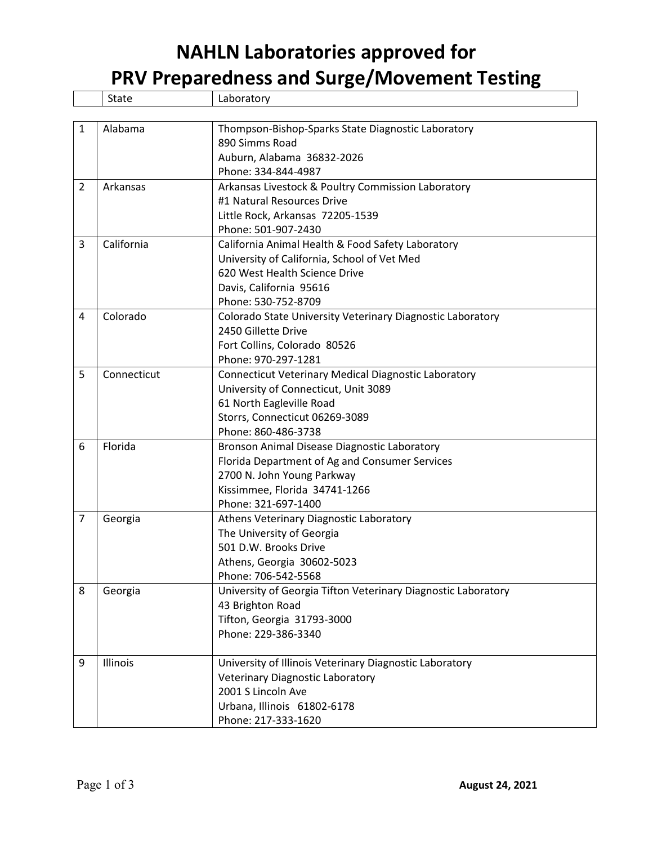## **NAHLN Laboratories approved for**

**PRV Preparedness and Surge/Movement Testing**

|                | <b>State</b> | Laboratory                                                    |
|----------------|--------------|---------------------------------------------------------------|
|                |              |                                                               |
| 1              | Alabama      | Thompson-Bishop-Sparks State Diagnostic Laboratory            |
|                |              | 890 Simms Road                                                |
|                |              | Auburn, Alabama 36832-2026                                    |
|                |              | Phone: 334-844-4987                                           |
| $\overline{2}$ | Arkansas     | Arkansas Livestock & Poultry Commission Laboratory            |
|                |              | #1 Natural Resources Drive                                    |
|                |              | Little Rock, Arkansas 72205-1539                              |
|                |              | Phone: 501-907-2430                                           |
| 3              | California   | California Animal Health & Food Safety Laboratory             |
|                |              | University of California, School of Vet Med                   |
|                |              | 620 West Health Science Drive                                 |
|                |              | Davis, California 95616                                       |
|                |              | Phone: 530-752-8709                                           |
| 4              | Colorado     | Colorado State University Veterinary Diagnostic Laboratory    |
|                |              | 2450 Gillette Drive                                           |
|                |              | Fort Collins, Colorado 80526                                  |
|                |              | Phone: 970-297-1281                                           |
| 5              | Connecticut  | <b>Connecticut Veterinary Medical Diagnostic Laboratory</b>   |
|                |              | University of Connecticut, Unit 3089                          |
|                |              | 61 North Eagleville Road                                      |
|                |              | Storrs, Connecticut 06269-3089                                |
|                |              | Phone: 860-486-3738                                           |
| 6              | Florida      | Bronson Animal Disease Diagnostic Laboratory                  |
|                |              | Florida Department of Ag and Consumer Services                |
|                |              | 2700 N. John Young Parkway                                    |
|                |              | Kissimmee, Florida 34741-1266                                 |
|                |              | Phone: 321-697-1400                                           |
| $\overline{7}$ | Georgia      | Athens Veterinary Diagnostic Laboratory                       |
|                |              | The University of Georgia                                     |
|                |              | 501 D.W. Brooks Drive                                         |
|                |              | Athens, Georgia 30602-5023                                    |
|                |              | Phone: 706-542-5568                                           |
| 8              | Georgia      | University of Georgia Tifton Veterinary Diagnostic Laboratory |
|                |              | 43 Brighton Road                                              |
|                |              | Tifton, Georgia 31793-3000                                    |
|                |              | Phone: 229-386-3340                                           |
| 9              | Illinois     | University of Illinois Veterinary Diagnostic Laboratory       |
|                |              | <b>Veterinary Diagnostic Laboratory</b>                       |
|                |              | 2001 S Lincoln Ave                                            |
|                |              | Urbana, Illinois 61802-6178                                   |
|                |              | Phone: 217-333-1620                                           |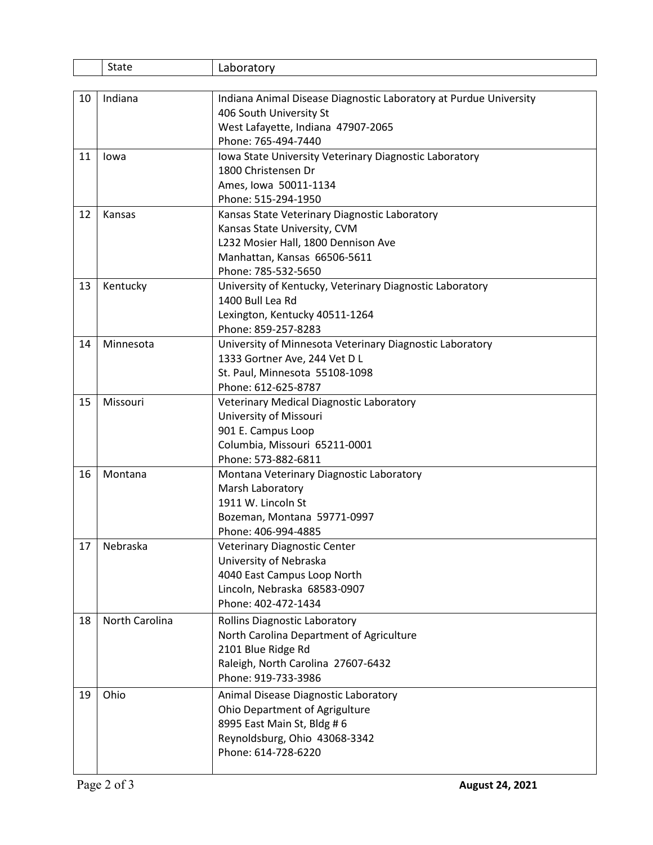|    | State          | Laboratory                                                        |
|----|----------------|-------------------------------------------------------------------|
|    |                |                                                                   |
| 10 | Indiana        | Indiana Animal Disease Diagnostic Laboratory at Purdue University |
|    |                | 406 South University St                                           |
|    |                | West Lafayette, Indiana 47907-2065                                |
|    |                | Phone: 765-494-7440                                               |
| 11 | lowa           | Iowa State University Veterinary Diagnostic Laboratory            |
|    |                | 1800 Christensen Dr                                               |
|    |                | Ames, Iowa 50011-1134                                             |
|    |                | Phone: 515-294-1950                                               |
| 12 | Kansas         | Kansas State Veterinary Diagnostic Laboratory                     |
|    |                | Kansas State University, CVM                                      |
|    |                | L232 Mosier Hall, 1800 Dennison Ave                               |
|    |                | Manhattan, Kansas 66506-5611                                      |
|    |                | Phone: 785-532-5650                                               |
| 13 | Kentucky       | University of Kentucky, Veterinary Diagnostic Laboratory          |
|    |                | 1400 Bull Lea Rd                                                  |
|    |                | Lexington, Kentucky 40511-1264                                    |
|    |                | Phone: 859-257-8283                                               |
| 14 | Minnesota      | University of Minnesota Veterinary Diagnostic Laboratory          |
|    |                | 1333 Gortner Ave, 244 Vet D L                                     |
|    |                | St. Paul, Minnesota 55108-1098                                    |
|    |                | Phone: 612-625-8787                                               |
| 15 | Missouri       | <b>Veterinary Medical Diagnostic Laboratory</b>                   |
|    |                | University of Missouri                                            |
|    |                | 901 E. Campus Loop                                                |
|    |                | Columbia, Missouri 65211-0001                                     |
|    |                | Phone: 573-882-6811                                               |
| 16 | Montana        | Montana Veterinary Diagnostic Laboratory                          |
|    |                | Marsh Laboratory                                                  |
|    |                | 1911 W. Lincoln St                                                |
|    |                | Bozeman, Montana 59771-0997                                       |
|    |                | Phone: 406-994-4885                                               |
| 17 | Nebraska       | Veterinary Diagnostic Center                                      |
|    |                | University of Nebraska                                            |
|    |                | 4040 East Campus Loop North                                       |
|    |                | Lincoln, Nebraska 68583-0907                                      |
|    |                | Phone: 402-472-1434                                               |
| 18 | North Carolina | <b>Rollins Diagnostic Laboratory</b>                              |
|    |                | North Carolina Department of Agriculture                          |
|    |                | 2101 Blue Ridge Rd                                                |
|    |                | Raleigh, North Carolina 27607-6432                                |
|    |                | Phone: 919-733-3986                                               |
| 19 | Ohio           | Animal Disease Diagnostic Laboratory                              |
|    |                | Ohio Department of Agrigulture                                    |
|    |                | 8995 East Main St, Bldg # 6                                       |
|    |                | Reynoldsburg, Ohio 43068-3342                                     |
|    |                | Phone: 614-728-6220                                               |
|    |                |                                                                   |